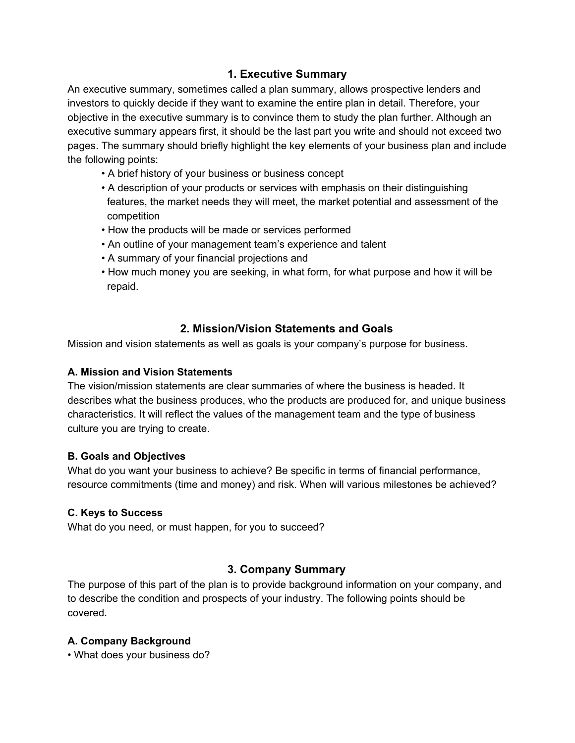## **1. Executive Summary**

An executive summary, sometimes called a plan summary, allows prospective lenders and investors to quickly decide if they want to examine the entire plan in detail. Therefore, your objective in the executive summary is to convince them to study the plan further. Although an executive summary appears first, it should be the last part you write and should not exceed two pages. The summary should briefly highlight the key elements of your business plan and include the following points:

- A brief history of your business or business concept
- A description of your products or services with emphasis on their distinguishing features, the market needs they will meet, the market potential and assessment of the competition
- How the products will be made or services performed
- An outline of your management team's experience and talent
- A summary of your financial projections and
- How much money you are seeking, in what form, for what purpose and how it will be repaid.

# **2. Mission/Vision Statements and Goals**

Mission and vision statements as well as goals is your company's purpose for business.

#### **A. Mission and Vision Statements**

The vision/mission statements are clear summaries of where the business is headed. It describes what the business produces, who the products are produced for, and unique business characteristics. It will reflect the values of the management team and the type of business culture you are trying to create.

## **B. Goals and Objectives**

What do you want your business to achieve? Be specific in terms of financial performance, resource commitments (time and money) and risk. When will various milestones be achieved?

## **C. Keys to Success**

What do you need, or must happen, for you to succeed?

## **3. Company Summary**

The purpose of this part of the plan is to provide background information on your company, and to describe the condition and prospects of your industry. The following points should be covered.

## **A. Company Background**

• What does your business do?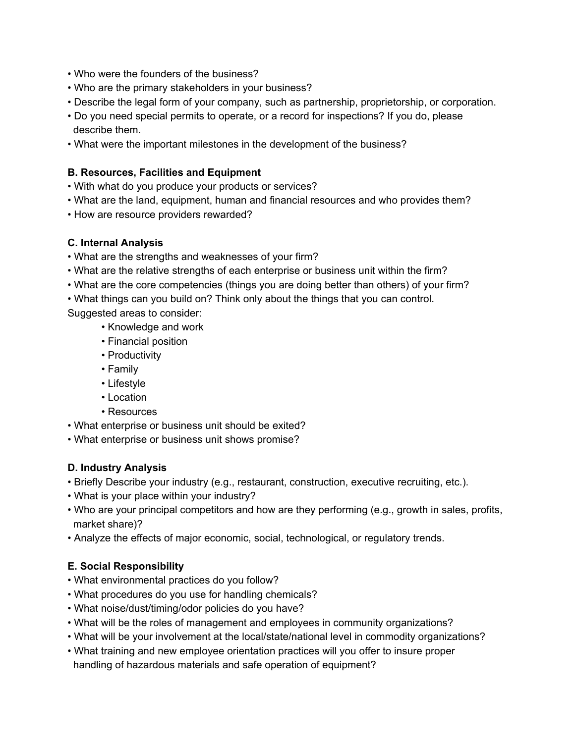- Who were the founders of the business?
- Who are the primary stakeholders in your business?
- Describe the legal form of your company, such as partnership, proprietorship, or corporation.
- Do you need special permits to operate, or a record for inspections? If you do, please describe them.
- What were the important milestones in the development of the business?

## **B. Resources, Facilities and Equipment**

- With what do you produce your products or services?
- What are the land, equipment, human and financial resources and who provides them?
- How are resource providers rewarded?

# **C. Internal Analysis**

- What are the strengths and weaknesses of your firm?
- What are the relative strengths of each enterprise or business unit within the firm?
- What are the core competencies (things you are doing better than others) of your firm?
- What things can you build on? Think only about the things that you can control.

Suggested areas to consider:

- Knowledge and work
- Financial position
- Productivity
- Family
- Lifestyle
- Location
- Resources
- What enterprise or business unit should be exited?
- What enterprise or business unit shows promise?

# **D. Industry Analysis**

- Briefly Describe your industry (e.g., restaurant, construction, executive recruiting, etc.).
- What is your place within your industry?
- Who are your principal competitors and how are they performing (e.g., growth in sales, profits, market share)?
- Analyze the effects of major economic, social, technological, or regulatory trends.

# **E. Social Responsibility**

- What environmental practices do you follow?
- What procedures do you use for handling chemicals?
- What noise/dust/timing/odor policies do you have?
- What will be the roles of management and employees in community organizations?
- What will be your involvement at the local/state/national level in commodity organizations?
- What training and new employee orientation practices will you offer to insure proper handling of hazardous materials and safe operation of equipment?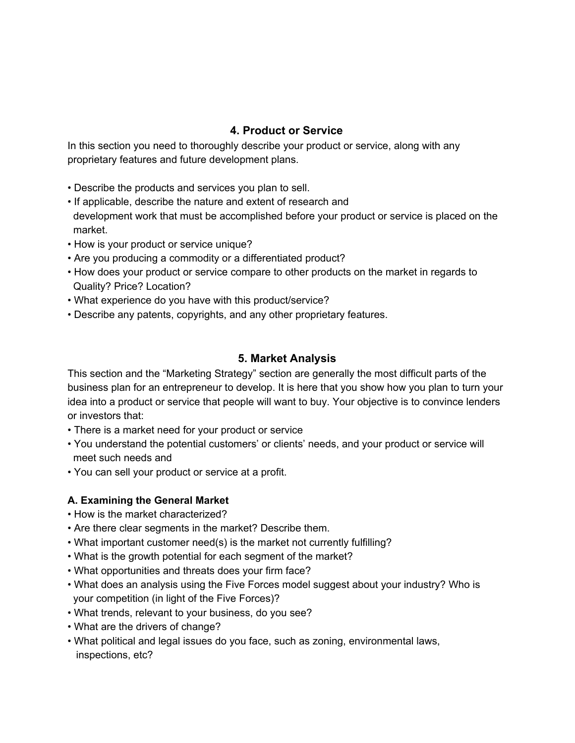# **4. Product or Service**

In this section you need to thoroughly describe your product or service, along with any proprietary features and future development plans.

- Describe the products and services you plan to sell.
- If applicable, describe the nature and extent of research and development work that must be accomplished before your product or service is placed on the market.
- How is your product or service unique?
- Are you producing a commodity or a differentiated product?
- How does your product or service compare to other products on the market in regards to Quality? Price? Location?
- What experience do you have with this product/service?
- Describe any patents, copyrights, and any other proprietary features.

# **5. Market Analysis**

This section and the "Marketing Strategy" section are generally the most difficult parts of the business plan for an entrepreneur to develop. It is here that you show how you plan to turn your idea into a product or service that people will want to buy. Your objective is to convince lenders or investors that:

- There is a market need for your product or service
- You understand the potential customers' or clients' needs, and your product or service will meet such needs and
- You can sell your product or service at a profit.

# **A. Examining the General Market**

- How is the market characterized?
- Are there clear segments in the market? Describe them.
- What important customer need(s) is the market not currently fulfilling?
- What is the growth potential for each segment of the market?
- What opportunities and threats does your firm face?
- What does an analysis using the Five Forces model suggest about your industry? Who is your competition (in light of the Five Forces)?
- What trends, relevant to your business, do you see?
- What are the drivers of change?
- What political and legal issues do you face, such as zoning, environmental laws, inspections, etc?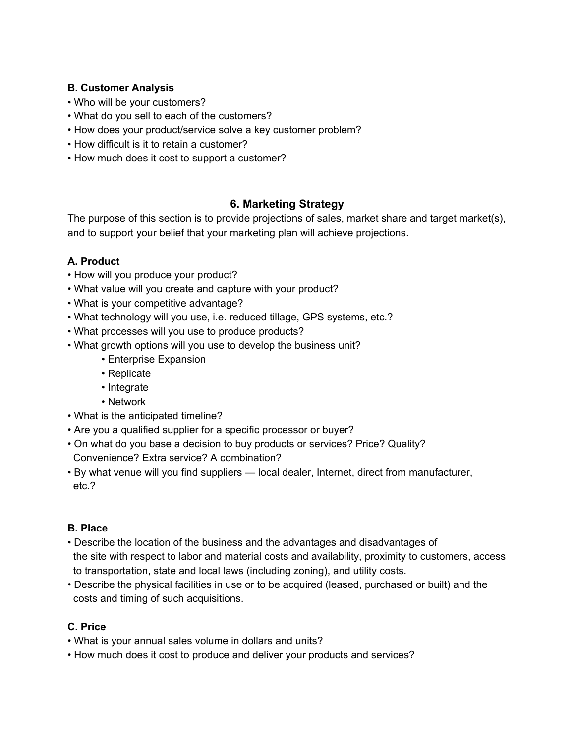## **B. Customer Analysis**

- Who will be your customers?
- What do you sell to each of the customers?
- How does your product/service solve a key customer problem?
- How difficult is it to retain a customer?
- How much does it cost to support a customer?

# **6. Marketing Strategy**

The purpose of this section is to provide projections of sales, market share and target market(s), and to support your belief that your marketing plan will achieve projections.

# **A. Product**

- How will you produce your product?
- What value will you create and capture with your product?
- What is your competitive advantage?
- What technology will you use, i.e. reduced tillage, GPS systems, etc.?
- What processes will you use to produce products?
- What growth options will you use to develop the business unit?
	- Enterprise Expansion
	- Replicate
	- Integrate
	- Network
- What is the anticipated timeline?
- Are you a qualified supplier for a specific processor or buyer?
- On what do you base a decision to buy products or services? Price? Quality? Convenience? Extra service? A combination?
- By what venue will you find suppliers local dealer, Internet, direct from manufacturer, etc.?

## **B. Place**

- Describe the location of the business and the advantages and disadvantages of the site with respect to labor and material costs and availability, proximity to customers, access to transportation, state and local laws (including zoning), and utility costs.
- Describe the physical facilities in use or to be acquired (leased, purchased or built) and the costs and timing of such acquisitions.

# **C. Price**

- What is your annual sales volume in dollars and units?
- How much does it cost to produce and deliver your products and services?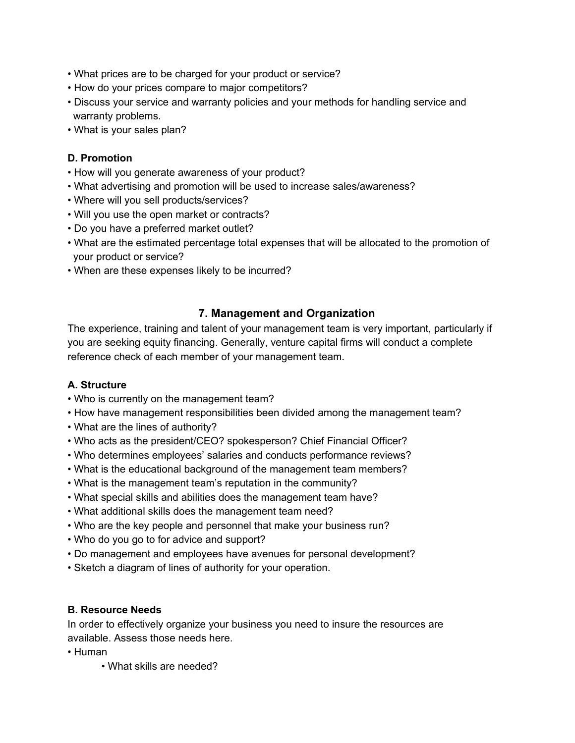- What prices are to be charged for your product or service?
- How do your prices compare to major competitors?
- Discuss your service and warranty policies and your methods for handling service and warranty problems.
- What is your sales plan?

## **D. Promotion**

- How will you generate awareness of your product?
- What advertising and promotion will be used to increase sales/awareness?
- Where will you sell products/services?
- Will you use the open market or contracts?
- Do you have a preferred market outlet?
- What are the estimated percentage total expenses that will be allocated to the promotion of your product or service?
- When are these expenses likely to be incurred?

# **7. Management and Organization**

The experience, training and talent of your management team is very important, particularly if you are seeking equity financing. Generally, venture capital firms will conduct a complete reference check of each member of your management team.

## **A. Structure**

- Who is currently on the management team?
- How have management responsibilities been divided among the management team?
- What are the lines of authority?
- Who acts as the president/CEO? spokesperson? Chief Financial Officer?
- Who determines employees' salaries and conducts performance reviews?
- What is the educational background of the management team members?
- What is the management team's reputation in the community?
- What special skills and abilities does the management team have?
- What additional skills does the management team need?
- Who are the key people and personnel that make your business run?
- Who do you go to for advice and support?
- Do management and employees have avenues for personal development?
- Sketch a diagram of lines of authority for your operation.

## **B. Resource Needs**

In order to effectively organize your business you need to insure the resources are available. Assess those needs here.

- Human
	- What skills are needed?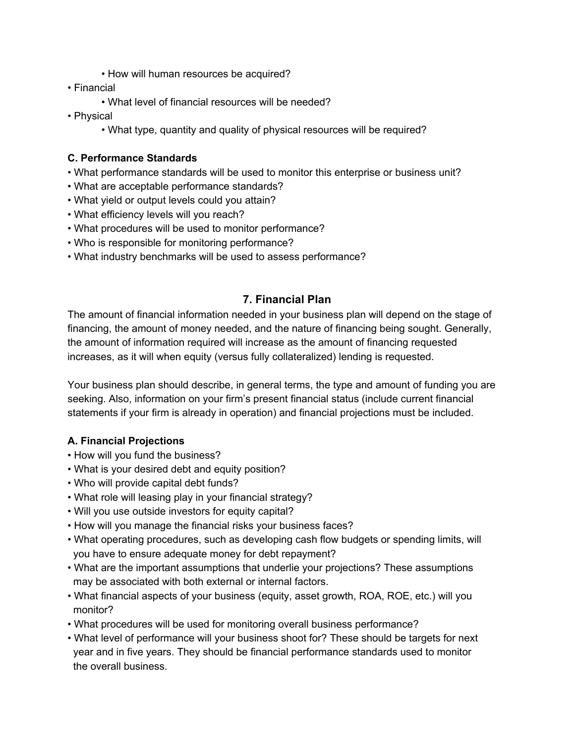- How will human resources be acquired?
- Financial
	- What level of financial resources will be needed?
- Physical
	- What type, quantity and quality of physical resources will be required?

## **C. Performance Standards**

- What performance standards will be used to monitor this enterprise or business unit?
- What are acceptable performance standards?
- What yield or output levels could you attain?
- What efficiency levels will you reach?
- What procedures will be used to monitor performance?
- Who is responsible for monitoring performance?
- What industry benchmarks will be used to assess performance?

## **7. Financial Plan**

The amount of financial information needed in your business plan will depend on the stage of financing, the amount of money needed, and the nature of financing being sought. Generally, the amount of information required will increase as the amount of financing requested increases, as it will when equity (versus fully collateralized) lending is requested.

Your business plan should describe, in general terms, the type and amount of funding you are seeking. Also, information on your firm's present financial status (include current financial statements if your firm is already in operation) and financial projections must be included.

## **A. Financial Projections**

- How will you fund the business?
- What is your desired debt and equity position?
- Who will provide capital debt funds?
- What role will leasing play in your financial strategy?
- Will you use outside investors for equity capital?
- How will you manage the financial risks your business faces?
- What operating procedures, such as developing cash flow budgets or spending limits, will you have to ensure adequate money for debt repayment?
- What are the important assumptions that underlie your projections? These assumptions may be associated with both external or internal factors.
- What financial aspects of your business (equity, asset growth, ROA, ROE, etc.) will you monitor?
- What procedures will be used for monitoring overall business performance?
- What level of performance will your business shoot for? These should be targets for next year and in five years. They should be financial performance standards used to monitor the overall business.